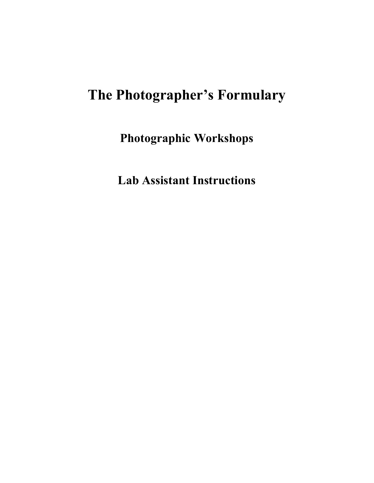# **The Photographer's Formulary**

**Photographic Workshops** 

**Lab Assistant Instructions**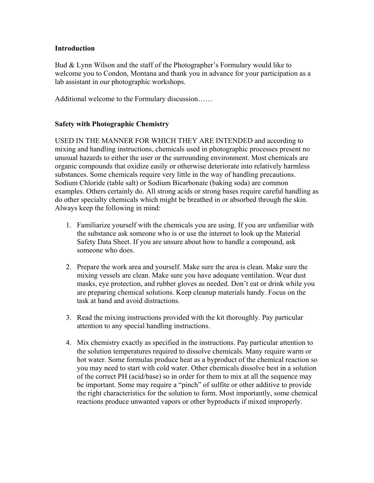### **Introduction**

Bud & Lynn Wilson and the staff of the Photographer's Formulary would like to welcome you to Condon, Montana and thank you in advance for your participation as a lab assistant in our photographic workshops.

Additional welcome to the Formulary discussion……

## **Safety with Photographic Chemistry**

USED IN THE MANNER FOR WHICH THEY ARE INTENDED and according to mixing and handling instructions, chemicals used in photographic processes present no unusual hazards to either the user or the surrounding environment. Most chemicals are organic compounds that oxidize easily or otherwise deteriorate into relatively harmless substances. Some chemicals require very little in the way of handling precautions. Sodium Chloride (table salt) or Sodium Bicarbonate (baking soda) are common examples. Others certainly do. All strong acids or strong bases require careful handling as do other specialty chemicals which might be breathed in or absorbed through the skin. Always keep the following in mind:

- 1. Familiarize yourself with the chemicals you are using. If you are unfamiliar with the substance ask someone who is or use the internet to look up the Material Safety Data Sheet. If you are unsure about how to handle a compound, ask someone who does.
- 2. Prepare the work area and yourself. Make sure the area is clean. Make sure the mixing vessels are clean. Make sure you have adequate ventilation. Wear dust masks, eye protection, and rubber gloves as needed. Don't eat or drink while you are preparing chemical solutions. Keep cleanup materials handy. Focus on the task at hand and avoid distractions.
- 3. Read the mixing instructions provided with the kit thoroughly. Pay particular attention to any special handling instructions.
- 4. Mix chemistry exactly as specified in the instructions. Pay particular attention to the solution temperatures required to dissolve chemicals. Many require warm or hot water. Some formulas produce heat as a byproduct of the chemical reaction so you may need to start with cold water. Other chemicals dissolve best in a solution of the correct PH (acid/base) so in order for them to mix at all the sequence may be important. Some may require a "pinch" of sulfite or other additive to provide the right characteristics for the solution to form. Most importantly, some chemical reactions produce unwanted vapors or other byproducts if mixed improperly.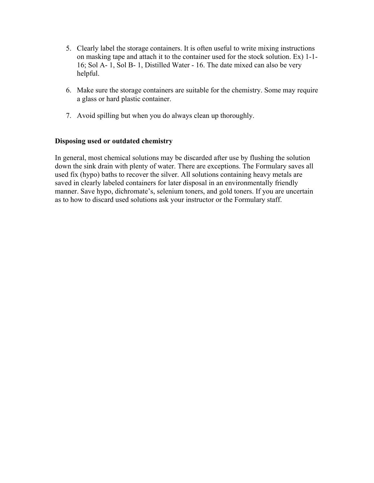- 5. Clearly label the storage containers. It is often useful to write mixing instructions on masking tape and attach it to the container used for the stock solution. Ex) 1-1- 16; Sol A- 1, Sol B- 1, Distilled Water - 16. The date mixed can also be very helpful.
- 6. Make sure the storage containers are suitable for the chemistry. Some may require a glass or hard plastic container.
- 7. Avoid spilling but when you do always clean up thoroughly.

### **Disposing used or outdated chemistry**

In general, most chemical solutions may be discarded after use by flushing the solution down the sink drain with plenty of water. There are exceptions. The Formulary saves all used fix (hypo) baths to recover the silver. All solutions containing heavy metals are saved in clearly labeled containers for later disposal in an environmentally friendly manner. Save hypo, dichromate's, selenium toners, and gold toners. If you are uncertain as to how to discard used solutions ask your instructor or the Formulary staff.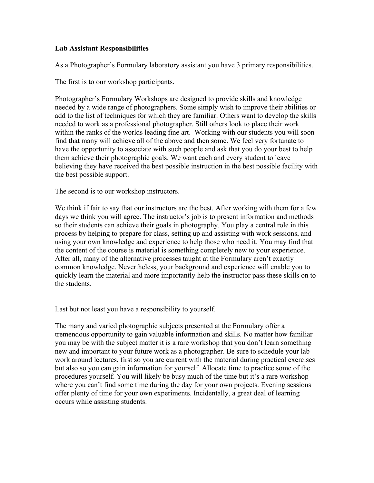### **Lab Assistant Responsibilities**

As a Photographer's Formulary laboratory assistant you have 3 primary responsibilities.

The first is to our workshop participants.

Photographer's Formulary Workshops are designed to provide skills and knowledge needed by a wide range of photographers. Some simply wish to improve their abilities or add to the list of techniques for which they are familiar. Others want to develop the skills needed to work as a professional photographer. Still others look to place their work within the ranks of the worlds leading fine art. Working with our students you will soon find that many will achieve all of the above and then some. We feel very fortunate to have the opportunity to associate with such people and ask that you do your best to help them achieve their photographic goals. We want each and every student to leave believing they have received the best possible instruction in the best possible facility with the best possible support.

The second is to our workshop instructors.

We think if fair to say that our instructors are the best. After working with them for a few days we think you will agree. The instructor's job is to present information and methods so their students can achieve their goals in photography. You play a central role in this process by helping to prepare for class, setting up and assisting with work sessions, and using your own knowledge and experience to help those who need it. You may find that the content of the course is material is something completely new to your experience. After all, many of the alternative processes taught at the Formulary aren't exactly common knowledge. Nevertheless, your background and experience will enable you to quickly learn the material and more importantly help the instructor pass these skills on to the students.

Last but not least you have a responsibility to yourself.

The many and varied photographic subjects presented at the Formulary offer a tremendous opportunity to gain valuable information and skills. No matter how familiar you may be with the subject matter it is a rare workshop that you don't learn something new and important to your future work as a photographer. Be sure to schedule your lab work around lectures, first so you are current with the material during practical exercises but also so you can gain information for yourself. Allocate time to practice some of the procedures yourself. You will likely be busy much of the time but it's a rare workshop where you can't find some time during the day for your own projects. Evening sessions offer plenty of time for your own experiments. Incidentally, a great deal of learning occurs while assisting students.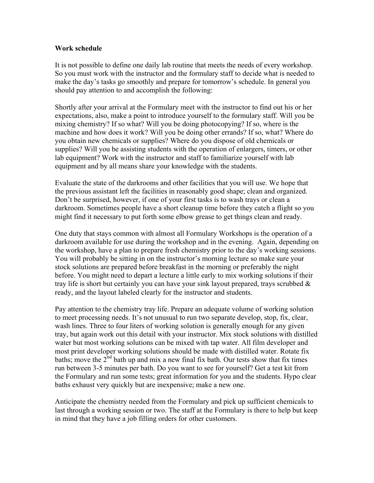#### **Work schedule**

It is not possible to define one daily lab routine that meets the needs of every workshop. So you must work with the instructor and the formulary staff to decide what is needed to make the day's tasks go smoothly and prepare for tomorrow's schedule. In general you should pay attention to and accomplish the following:

Shortly after your arrival at the Formulary meet with the instructor to find out his or her expectations, also, make a point to introduce yourself to the formulary staff. Will you be mixing chemistry? If so what? Will you be doing photocopying? If so, where is the machine and how does it work? Will you be doing other errands? If so, what? Where do you obtain new chemicals or supplies? Where do you dispose of old chemicals or supplies? Will you be assisting students with the operation of enlargers, timers, or other lab equipment? Work with the instructor and staff to familiarize yourself with lab equipment and by all means share your knowledge with the students.

Evaluate the state of the darkrooms and other facilities that you will use. We hope that the previous assistant left the facilities in reasonably good shape; clean and organized. Don't be surprised, however, if one of your first tasks is to wash trays or clean a darkroom. Sometimes people have a short cleanup time before they catch a flight so you might find it necessary to put forth some elbow grease to get things clean and ready.

One duty that stays common with almost all Formulary Workshops is the operation of a darkroom available for use during the workshop and in the evening. Again, depending on the workshop, have a plan to prepare fresh chemistry prior to the day's working sessions. You will probably be sitting in on the instructor's morning lecture so make sure your stock solutions are prepared before breakfast in the morning or preferably the night before. You might need to depart a lecture a little early to mix working solutions if their tray life is short but certainly you can have your sink layout prepared, trays scrubbed  $\&$ ready, and the layout labeled clearly for the instructor and students.

Pay attention to the chemistry tray life. Prepare an adequate volume of working solution to meet processing needs. It's not unusual to run two separate develop, stop, fix, clear, wash lines. Three to four liters of working solution is generally enough for any given tray, but again work out this detail with your instructor. Mix stock solutions with distilled water but most working solutions can be mixed with tap water. All film developer and most print developer working solutions should be made with distilled water. Rotate fix baths; move the  $2^{nd}$  bath up and mix a new final fix bath. Our tests show that fix times run between 3-5 minutes per bath. Do you want to see for yourself? Get a test kit from the Formulary and run some tests; great information for you and the students. Hypo clear baths exhaust very quickly but are inexpensive; make a new one.

Anticipate the chemistry needed from the Formulary and pick up sufficient chemicals to last through a working session or two. The staff at the Formulary is there to help but keep in mind that they have a job filling orders for other customers.